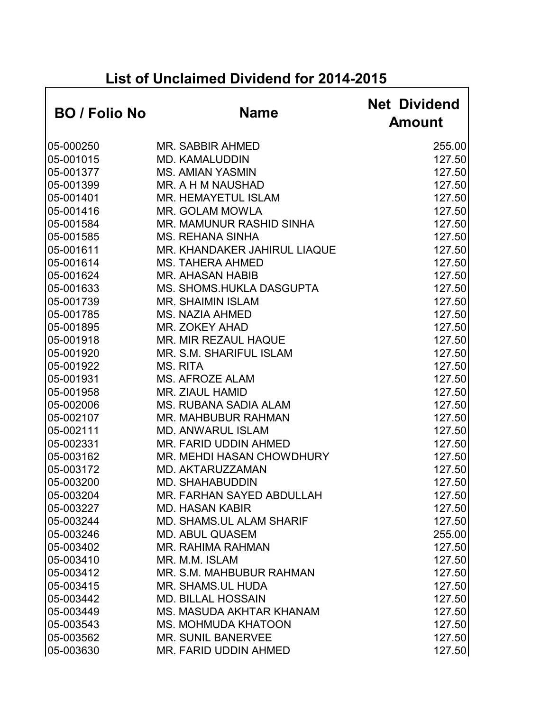## **List of Unclaimed Dividend for 2014-2015**

| <b>BO</b> / Folio No | <b>Name</b>                      | <b>Net Dividend</b><br><b>Amount</b> |
|----------------------|----------------------------------|--------------------------------------|
| 05-000250            | <b>MR. SABBIR AHMED</b>          | 255.00                               |
| 05-001015            | <b>MD. KAMALUDDIN</b>            | 127.50                               |
| 05-001377            | <b>MS. AMIAN YASMIN</b>          | 127.50                               |
| 05-001399            | MR. A H M NAUSHAD                | 127.50                               |
| 05-001401            | <b>MR. HEMAYETUL ISLAM</b>       | 127.50                               |
| 05-001416            | <b>MR. GOLAM MOWLA</b>           | 127.50                               |
| 05-001584            | MR. MAMUNUR RASHID SINHA         | 127.50                               |
| 05-001585            | <b>MS. REHANA SINHA</b>          | 127.50                               |
| 05-001611            | MR. KHANDAKER JAHIRUL LIAQUE     | 127.50                               |
| 05-001614            | <b>MS. TAHERA AHMED</b>          | 127.50                               |
| 05-001624            | <b>MR. AHASAN HABIB</b>          | 127.50                               |
| 05-001633            | <b>MS. SHOMS.HUKLA DASGUPTA</b>  | 127.50                               |
| 05-001739            | <b>MR. SHAIMIN ISLAM</b>         | 127.50                               |
| 05-001785            | <b>MS. NAZIA AHMED</b>           | 127.50                               |
| 05-001895            | <b>MR. ZOKEY AHAD</b>            | 127.50                               |
| 05-001918            | MR. MIR REZAUL HAQUE             | 127.50                               |
| 05-001920            | MR. S.M. SHARIFUL ISLAM          | 127.50                               |
| 05-001922            | <b>MS. RITA</b>                  | 127.50                               |
| 05-001931            | <b>MS. AFROZE ALAM</b>           | 127.50                               |
| 05-001958            | MR. ZIAUL HAMID                  | 127.50                               |
| 05-002006            | <b>MS. RUBANA SADIA ALAM</b>     | 127.50                               |
| 05-002107            | <b>MR. MAHBUBUR RAHMAN</b>       | 127.50                               |
| 05-002111            | <b>MD. ANWARUL ISLAM</b>         | 127.50                               |
| 05-002331            | MR. FARID UDDIN AHMED            | 127.50                               |
| 05-003162            | <b>MR. MEHDI HASAN CHOWDHURY</b> | 127.50                               |
| 05-003172            | MD. AKTARUZZAMAN                 | 127.50                               |
| 05-003200            | <b>MD. SHAHABUDDIN</b>           | 127.50                               |
| 05-003204            | <b>MR. FARHAN SAYED ABDULLAH</b> | 127.50                               |
| 05-003227            | <b>MD. HASAN KABIR</b>           | 127.50                               |
| 05-003244            | <b>MD. SHAMS.UL ALAM SHARIF</b>  | 127.50                               |
| 05-003246            | <b>MD. ABUL QUASEM</b>           | 255.00                               |
| 05-003402            | <b>MR. RAHIMA RAHMAN</b>         | 127.50                               |
| 05-003410            | MR. M.M. ISLAM                   | 127.50                               |
| 05-003412            | MR. S.M. MAHBUBUR RAHMAN         | 127.50                               |
| 05-003415            | <b>MR. SHAMS, UL HUDA</b>        | 127.50                               |
| 05-003442            | <b>MD. BILLAL HOSSAIN</b>        | 127.50                               |
| 05-003449            | <b>MS. MASUDA AKHTAR KHANAM</b>  | 127.50                               |
| 05-003543            | <b>MS. MOHMUDA KHATOON</b>       | 127.50                               |
| 05-003562            | <b>MR. SUNIL BANERVEE</b>        | 127.50                               |
| 05-003630            | MR. FARID UDDIN AHMED            | 127.50                               |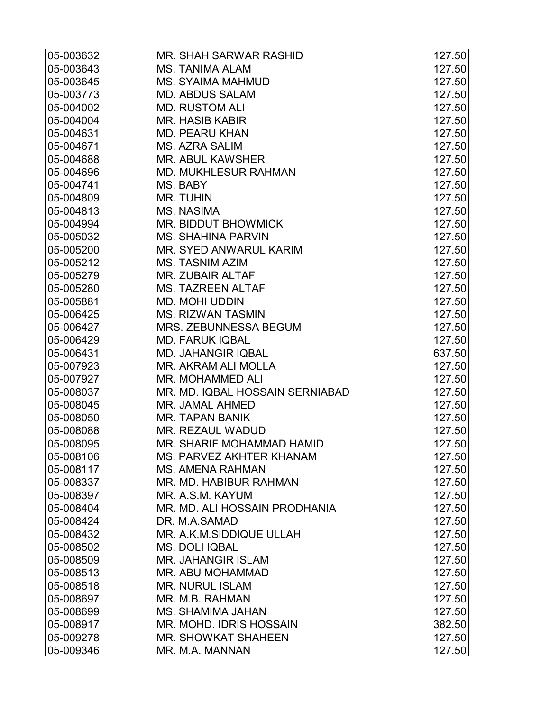| 05-003632              | MR. SHAH SARWAR RASHID                        | 127.50           |
|------------------------|-----------------------------------------------|------------------|
| 05-003643              | <b>MS. TANIMA ALAM</b>                        | 127.50           |
| 05-003645              | <b>MS. SYAIMA MAHMUD</b>                      | 127.50           |
| 05-003773              | <b>MD. ABDUS SALAM</b>                        | 127.50           |
| 05-004002              | <b>MD. RUSTOM ALI</b>                         | 127.50           |
| 05-004004              | <b>MR. HASIB KABIR</b>                        | 127.50           |
| 05-004631              | <b>MD. PEARU KHAN</b>                         | 127.50           |
| 05-004671              | <b>MS. AZRA SALIM</b>                         | 127.50           |
| 05-004688              | <b>MR. ABUL KAWSHER</b>                       | 127.50           |
| 05-004696              | <b>MD. MUKHLESUR RAHMAN</b>                   | 127.50           |
| 05-004741              | MS. BABY                                      | 127.50           |
| 05-004809              | <b>MR. TUHIN</b>                              | 127.50           |
| 05-004813              | <b>MS. NASIMA</b>                             | 127.50           |
| 05-004994              | MR. BIDDUT BHOWMICK                           | 127.50           |
| 05-005032              | <b>MS. SHAHINA PARVIN</b>                     | 127.50           |
| 05-005200              | MR. SYED ANWARUL KARIM                        | 127.50           |
| 05-005212              | <b>MS. TASNIM AZIM</b>                        | 127.50           |
| 05-005279              | MR. ZUBAIR ALTAF                              | 127.50           |
| 05-005280              | <b>MS. TAZREEN ALTAF</b>                      | 127.50           |
| 05-005881              | <b>MD. MOHI UDDIN</b>                         | 127.50           |
| 05-006425              | <b>MS. RIZWAN TASMIN</b>                      | 127.50           |
| 05-006427              | MRS. ZEBUNNESSA BEGUM                         | 127.50           |
| 05-006429              | <b>MD. FARUK IQBAL</b>                        | 127.50           |
| 05-006431              | <b>MD. JAHANGIR IQBAL</b>                     | 637.50           |
| 05-007923              | MR. AKRAM ALI MOLLA                           | 127.50           |
| 05-007927              | MR. MOHAMMED ALI                              | 127.50           |
| 05-008037              | MR. MD. IQBAL HOSSAIN SERNIABAD               | 127.50           |
| 05-008045              | <b>MR. JAMAL AHMED</b>                        | 127.50           |
| 05-008050              | <b>MR. TAPAN BANIK</b>                        | 127.50           |
| 05-008088              | MR. REZAUL WADUD                              | 127.50           |
| 05-008095              | MR. SHARIF MOHAMMAD HAMID                     | 127.50           |
| 05-008106              | MS. PARVEZ AKHTER KHANAM                      | 127.50           |
| 05-008117              | <b>MS. AMENA RAHMAN</b>                       | 127.50           |
| 05-008337              | MR. MD. HABIBUR RAHMAN                        | 127.50           |
| 05-008397              | MR. A.S.M. KAYUM                              | 127.50           |
| 05-008404              | MR. MD. ALI HOSSAIN PRODHANIA                 | 127.50           |
| 05-008424              | DR. M.A.SAMAD                                 | 127.50           |
| 05-008432              | MR. A.K.M.SIDDIQUE ULLAH                      | 127.50           |
| 05-008502              | MS. DOLI IQBAL                                | 127.50           |
| 05-008509<br>05-008513 | <b>MR. JAHANGIR ISLAM</b><br>MR. ABU MOHAMMAD | 127.50<br>127.50 |
|                        |                                               |                  |
| 05-008518<br>05-008697 | <b>MR. NURUL ISLAM</b><br>MR. M.B. RAHMAN     | 127.50<br>127.50 |
| 05-008699              | <b>MS. SHAMIMA JAHAN</b>                      | 127.50           |
| 05-008917              | MR. MOHD. IDRIS HOSSAIN                       | 382.50           |
| 05-009278              | <b>MR. SHOWKAT SHAHEEN</b>                    | 127.50           |
| 05-009346              | MR. M.A. MANNAN                               | 127.50           |
|                        |                                               |                  |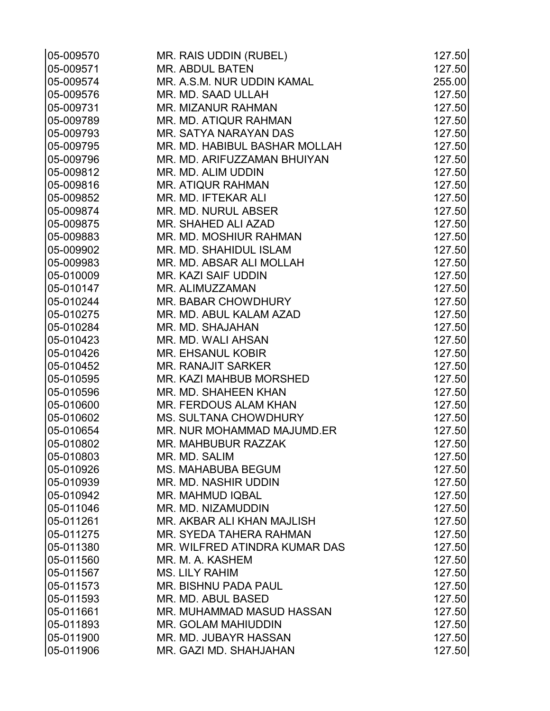| 05-009570 | MR. RAIS UDDIN (RUBEL)        | 127.50 |
|-----------|-------------------------------|--------|
| 05-009571 | <b>MR. ABDUL BATEN</b>        | 127.50 |
| 05-009574 | MR. A.S.M. NUR UDDIN KAMAL    | 255.00 |
| 05-009576 | MR. MD. SAAD ULLAH            | 127.50 |
| 05-009731 | <b>MR. MIZANUR RAHMAN</b>     | 127.50 |
| 05-009789 | MR. MD. ATIQUR RAHMAN         | 127.50 |
| 05-009793 | MR. SATYA NARAYAN DAS         | 127.50 |
| 05-009795 | MR. MD. HABIBUL BASHAR MOLLAH | 127.50 |
| 05-009796 | MR. MD. ARIFUZZAMAN BHUIYAN   | 127.50 |
| 05-009812 | MR. MD. ALIM UDDIN            | 127.50 |
| 05-009816 | <b>MR. ATIQUR RAHMAN</b>      | 127.50 |
| 05-009852 | MR. MD. IFTEKAR ALI           | 127.50 |
| 05-009874 | MR. MD. NURUL ABSER           | 127.50 |
| 05-009875 | MR. SHAHED ALI AZAD           | 127.50 |
| 05-009883 | MR. MD. MOSHIUR RAHMAN        | 127.50 |
| 05-009902 | MR. MD. SHAHIDUL ISLAM        | 127.50 |
| 05-009983 | MR. MD. ABSAR ALI MOLLAH      | 127.50 |
| 05-010009 | <b>MR. KAZI SAIF UDDIN</b>    | 127.50 |
| 05-010147 | MR. ALIMUZZAMAN               | 127.50 |
| 05-010244 | MR. BABAR CHOWDHURY           | 127.50 |
| 05-010275 | MR. MD. ABUL KALAM AZAD       | 127.50 |
| 05-010284 | MR. MD. SHAJAHAN              | 127.50 |
| 05-010423 | MR. MD. WALI AHSAN            | 127.50 |
| 05-010426 | <b>MR. EHSANUL KOBIR</b>      | 127.50 |
| 05-010452 | <b>MR. RANAJIT SARKER</b>     | 127.50 |
| 05-010595 | MR. KAZI MAHBUB MORSHED       | 127.50 |
| 05-010596 | MR. MD. SHAHEEN KHAN          | 127.50 |
| 05-010600 | MR. FERDOUS ALAM KHAN         | 127.50 |
| 05-010602 | <b>MS. SULTANA CHOWDHURY</b>  | 127.50 |
| 05-010654 | MR. NUR MOHAMMAD MAJUMD.ER    | 127.50 |
| 05-010802 | MR. MAHBUBUR RAZZAK           | 127.50 |
| 05-010803 | MR. MD. SALIM                 | 127.50 |
| 05-010926 | <b>MS. MAHABUBA BEGUM</b>     | 127.50 |
| 05-010939 | MR. MD. NASHIR UDDIN          | 127.50 |
| 05-010942 | MR. MAHMUD IQBAL              | 127.50 |
| 05-011046 | MR. MD. NIZAMUDDIN            | 127.50 |
| 05-011261 | MR. AKBAR ALI KHAN MAJLISH    | 127.50 |
| 05-011275 | MR. SYEDA TAHERA RAHMAN       | 127.50 |
| 05-011380 | MR. WILFRED ATINDRA KUMAR DAS | 127.50 |
| 05-011560 | MR. M. A. KASHEM              | 127.50 |
| 05-011567 | <b>MS. LILY RAHIM</b>         | 127.50 |
| 05-011573 | <b>MR. BISHNU PADA PAUL</b>   | 127.50 |
| 05-011593 | MR. MD. ABUL BASED            | 127.50 |
| 05-011661 | MR. MUHAMMAD MASUD HASSAN     | 127.50 |
| 05-011893 | MR. GOLAM MAHIUDDIN           | 127.50 |
| 05-011900 | MR. MD. JUBAYR HASSAN         | 127.50 |
| 05-011906 | MR. GAZI MD. SHAHJAHAN        | 127.50 |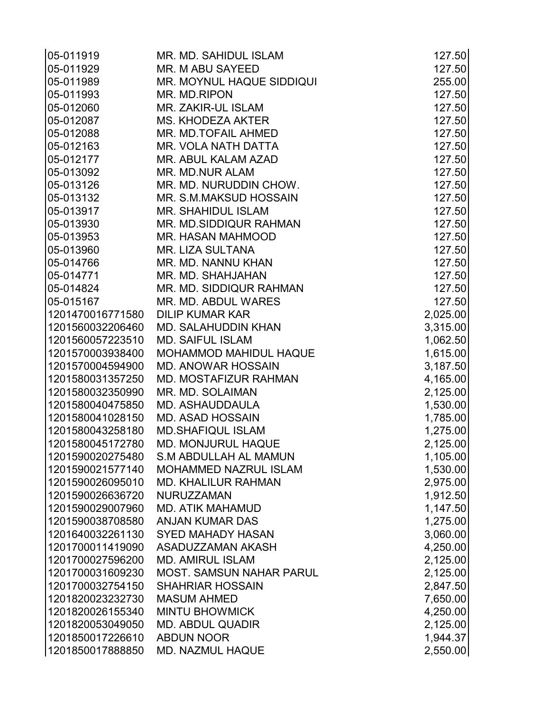| 05-011919        | MR. MD. SAHIDUL ISLAM           | 127.50   |
|------------------|---------------------------------|----------|
| 05-011929        | MR. M ABU SAYEED                | 127.50   |
| 05-011989        | MR. MOYNUL HAQUE SIDDIQUI       | 255.00   |
| 05-011993        | MR. MD.RIPON                    | 127.50   |
| 05-012060        | <b>MR. ZAKIR-UL ISLAM</b>       | 127.50   |
| 05-012087        | <b>MS. KHODEZA AKTER</b>        | 127.50   |
| 05-012088        | MR. MD.TOFAIL AHMED             | 127.50   |
| 05-012163        | MR. VOLA NATH DATTA             | 127.50   |
| 05-012177        | MR. ABUL KALAM AZAD             | 127.50   |
| 05-013092        | <b>MR. MD.NUR ALAM</b>          | 127.50   |
| 05-013126        | MR. MD. NURUDDIN CHOW.          | 127.50   |
| 05-013132        | MR. S.M.MAKSUD HOSSAIN          | 127.50   |
| 05-013917        | <b>MR. SHAHIDUL ISLAM</b>       | 127.50   |
| 05-013930        | MR. MD.SIDDIQUR RAHMAN          | 127.50   |
| 05-013953        | MR. HASAN MAHMOOD               | 127.50   |
| 05-013960        | <b>MR. LIZA SULTANA</b>         | 127.50   |
| 05-014766        | MR. MD. NANNU KHAN              | 127.50   |
| 05-014771        | MR. MD. SHAHJAHAN               | 127.50   |
| 05-014824        | MR. MD. SIDDIQUR RAHMAN         | 127.50   |
| 05-015167        | MR. MD. ABDUL WARES             | 127.50   |
| 1201470016771580 | <b>DILIP KUMAR KAR</b>          | 2,025.00 |
| 1201560032206460 | MD. SALAHUDDIN KHAN             | 3,315.00 |
| 1201560057223510 | <b>MD. SAIFUL ISLAM</b>         | 1,062.50 |
| 1201570003938400 | <b>MOHAMMOD MAHIDUL HAQUE</b>   | 1,615.00 |
| 1201570004594900 | <b>MD. ANOWAR HOSSAIN</b>       | 3,187.50 |
| 1201580031357250 | <b>MD. MOSTAFIZUR RAHMAN</b>    | 4,165.00 |
| 1201580032350990 | MR. MD. SOLAIMAN                | 2,125.00 |
| 1201580040475850 | MD. ASHAUDDAULA                 | 1,530.00 |
| 1201580041028150 | <b>MD. ASAD HOSSAIN</b>         | 1,785.00 |
| 1201580043258180 | <b>MD.SHAFIQUL ISLAM</b>        | 1,275.00 |
| 1201580045172780 | <b>MD. MONJURUL HAQUE</b>       | 2,125.00 |
| 1201590020275480 | <b>S.M ABDULLAH AL MAMUN</b>    | 1,105.00 |
| 1201590021577140 | <b>MOHAMMED NAZRUL ISLAM</b>    | 1,530.00 |
| 1201590026095010 | <b>MD. KHALILUR RAHMAN</b>      | 2,975.00 |
| 1201590026636720 | NURUZZAMAN                      | 1,912.50 |
| 1201590029007960 | <b>MD. ATIK MAHAMUD</b>         | 1,147.50 |
| 1201590038708580 | <b>ANJAN KUMAR DAS</b>          | 1,275.00 |
| 1201640032261130 | <b>SYED MAHADY HASAN</b>        | 3,060.00 |
| 1201700011419090 | ASADUZZAMAN AKASH               | 4,250.00 |
| 1201700027596200 | <b>MD. AMIRUL ISLAM</b>         | 2,125.00 |
| 1201700031609230 | <b>MOST. SAMSUN NAHAR PARUL</b> | 2,125.00 |
| 1201700032754150 | <b>SHAHRIAR HOSSAIN</b>         | 2,847.50 |
| 1201820023232730 | <b>MASUM AHMED</b>              | 7,650.00 |
| 1201820026155340 | <b>MINTU BHOWMICK</b>           | 4,250.00 |
| 1201820053049050 | <b>MD. ABDUL QUADIR</b>         | 2,125.00 |
| 1201850017226610 | <b>ABDUN NOOR</b>               | 1,944.37 |
| 1201850017888850 | <b>MD. NAZMUL HAQUE</b>         | 2,550.00 |